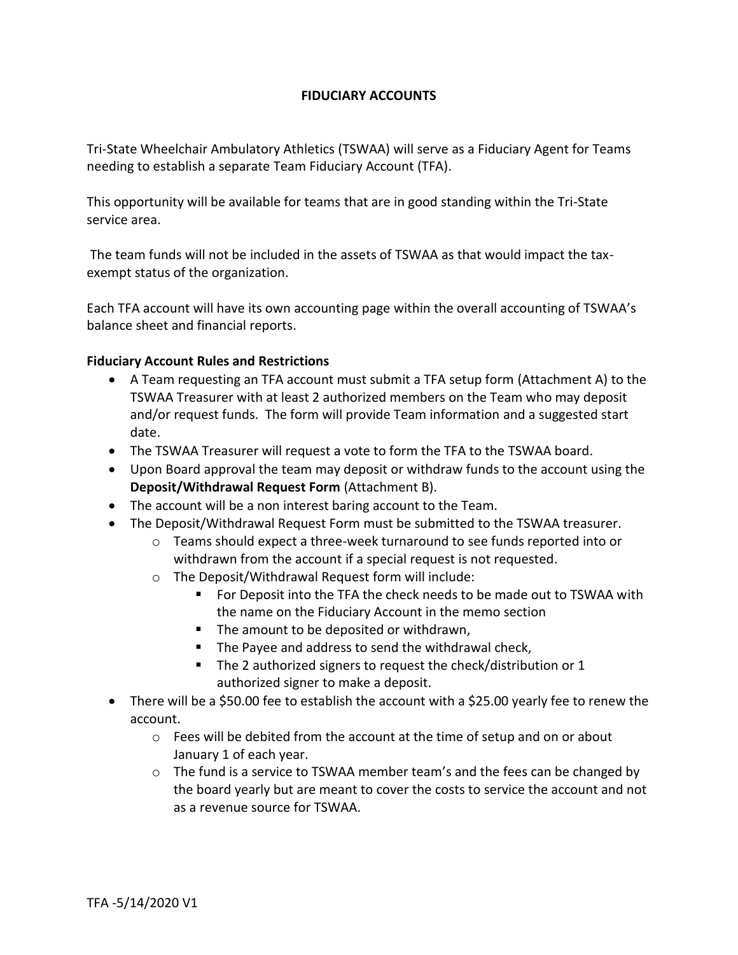## **FIDUCIARY ACCOUNTS**

Tri-State Wheelchair Ambulatory Athletics (TSWAA) will serve as a Fiduciary Agent for Teams needing to establish a separate Team Fiduciary Account (TFA).

This opportunity will be available for teams that are in good standing within the Tri-State service area.

The team funds will not be included in the assets of TSWAA as that would impact the taxexempt status of the organization.

Each TFA account will have its own accounting page within the overall accounting of TSWAA's balance sheet and financial reports.

## **Fiduciary Account Rules and Restrictions**

- A Team requesting an TFA account must submit a TFA setup form (Attachment A) to the TSWAA Treasurer with at least 2 authorized members on the Team who may deposit and/or request funds. The form will provide Team information and a suggested start date.
- The TSWAA Treasurer will request a vote to form the TFA to the TSWAA board.
- Upon Board approval the team may deposit or withdraw funds to the account using the **Deposit/Withdrawal Request Form** (Attachment B).
- The account will be a non interest baring account to the Team.
- The Deposit/Withdrawal Request Form must be submitted to the TSWAA treasurer.
	- $\circ$  Teams should expect a three-week turnaround to see funds reported into or withdrawn from the account if a special request is not requested.
	- o The Deposit/Withdrawal Request form will include:
		- For Deposit into the TFA the check needs to be made out to TSWAA with the name on the Fiduciary Account in the memo section
		- The amount to be deposited or withdrawn,
		- The Payee and address to send the withdrawal check,
		- The 2 authorized signers to request the check/distribution or 1 authorized signer to make a deposit.
- There will be a \$50.00 fee to establish the account with a \$25.00 yearly fee to renew the account.
	- o Fees will be debited from the account at the time of setup and on or about January 1 of each year.
	- $\circ$  The fund is a service to TSWAA member team's and the fees can be changed by the board yearly but are meant to cover the costs to service the account and not as a revenue source for TSWAA.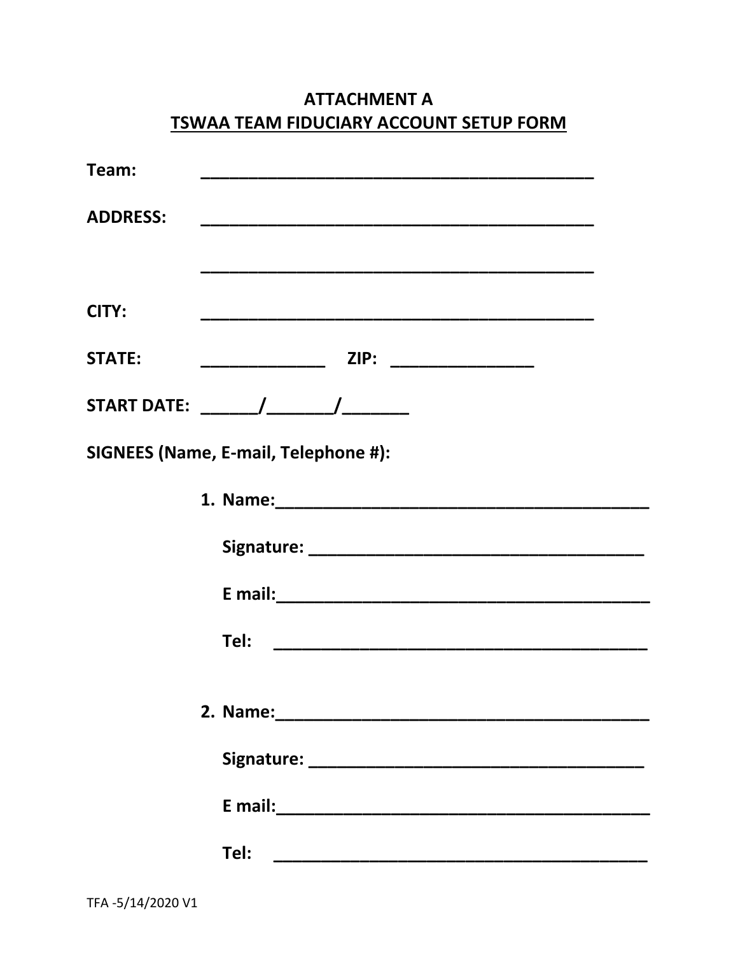|                                                                                                                                                                                                                                | <b>ISWAA TEAM FIDOCIANT ACCOUNT SETUP FUNNI</b>                   |  |
|--------------------------------------------------------------------------------------------------------------------------------------------------------------------------------------------------------------------------------|-------------------------------------------------------------------|--|
| Team:                                                                                                                                                                                                                          |                                                                   |  |
| <b>ADDRESS:</b>                                                                                                                                                                                                                |                                                                   |  |
|                                                                                                                                                                                                                                |                                                                   |  |
| CITY:                                                                                                                                                                                                                          |                                                                   |  |
| <b>STATE:</b>                                                                                                                                                                                                                  | ZIP: _______________<br><u> 1980 - Jan Barnett, mars et al. (</u> |  |
| START DATE: The Management of the Management of the Management of the Management of the Management of the Management of the Management of the Management of the Management of the Management of the Management of the Manageme |                                                                   |  |
| SIGNEES (Name, E-mail, Telephone #):                                                                                                                                                                                           |                                                                   |  |
|                                                                                                                                                                                                                                |                                                                   |  |
|                                                                                                                                                                                                                                |                                                                   |  |
|                                                                                                                                                                                                                                |                                                                   |  |
|                                                                                                                                                                                                                                | Tel:                                                              |  |
|                                                                                                                                                                                                                                |                                                                   |  |
|                                                                                                                                                                                                                                |                                                                   |  |
|                                                                                                                                                                                                                                |                                                                   |  |
|                                                                                                                                                                                                                                |                                                                   |  |
|                                                                                                                                                                                                                                | Tel:                                                              |  |

## **ATTACHMENT A** TSWAA TEAM FIDUCIARY ACCOUNT SETUP FORM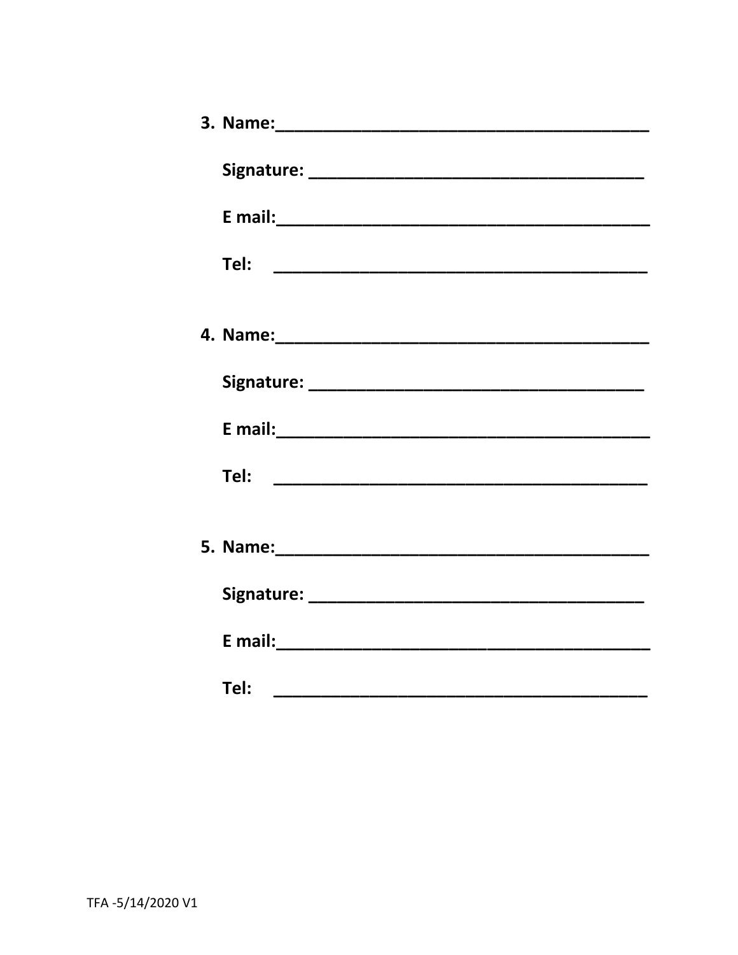| Tel: |
|------|